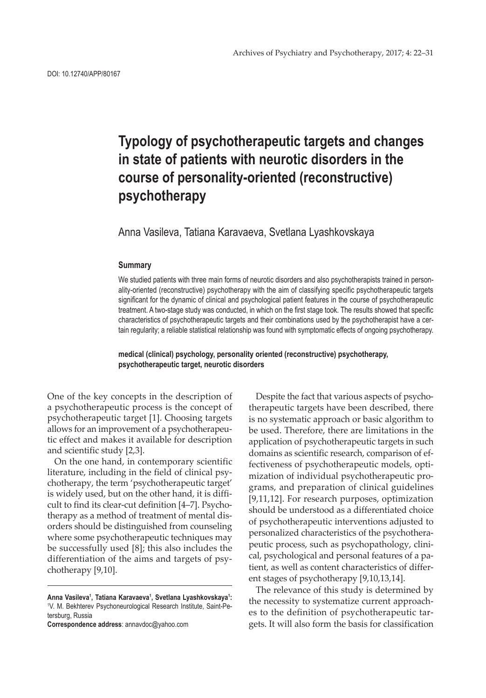# **Typology of psychotherapeutic targets and changes in state of patients with neurotic disorders in the course of personality-oriented (reconstructive) psychotherapy**

Anna Vasileva, Tatiana Karavaeva, Svetlana Lyashkovskaya

### **Summary**

We studied patients with three main forms of neurotic disorders and also psychotherapists trained in personality-oriented (reconstructive) psychotherapy with the aim of classifying specific psychotherapeutic targets significant for the dynamic of clinical and psychological patient features in the course of psychotherapeutic treatment. A two-stage study was conducted, in which on the first stage took. The results showed that specific characteristics of psychotherapeutic targets and their combinations used by the psychotherapist have a certain regularity; a reliable statistical relationship was found with symptomatic effects of ongoing psychotherapy.

**medical (clinical) psychology, personality oriented (reconstructive) psychotherapy, psychotherapeutic target, neurotic disorders**

One of the key concepts in the description of a psychotherapeutic process is the concept of psychotherapeutic target [1]. Choosing targets allows for an improvement of a psychotherapeutic effect and makes it available for description and scientific study [2,3].

On the one hand, in contemporary scientific literature, including in the field of clinical psychotherapy, the term 'psychotherapeutic target' is widely used, but on the other hand, it is difficult to find its clear-cut definition [4–7]. Psychotherapy as a method of treatment of mental disorders should be distinguished from counseling where some psychotherapeutic techniques may be successfully used [8]; this also includes the differentiation of the aims and targets of psychotherapy [9,10].

**Correspondence address**: annavdoc@yahoo.com

Despite the fact that various aspects of psychotherapeutic targets have been described, there is no systematic approach or basic algorithm to be used. Therefore, there are limitations in the application of psychotherapeutic targets in such domains as scientific research, comparison of effectiveness of psychotherapeutic models, optimization of individual psychotherapeutic programs, and preparation of clinical guidelines [9,11,12]. For research purposes, optimization should be understood as a differentiated choice of psychotherapeutic interventions adjusted to personalized characteristics of the psychotherapeutic process, such as psychopathology, clinical, psychological and personal features of a patient, as well as content characteristics of different stages of psychotherapy [9,10,13,14].

The relevance of this study is determined by the necessity to systematize current approaches to the definition of psychotherapeutic targets. It will also form the basis for classification

**Anna Vasileva1 , Tatiana Karavaeva1 , Svetlana Lyashkovskaya1 :** 1 V. M. Bekhterev Psychoneurological Research Institute, Saint-Petersburg, Russia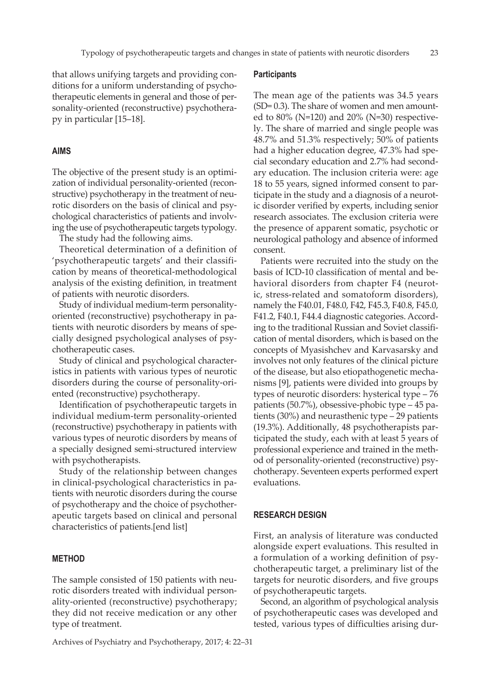that allows unifying targets and providing conditions for a uniform understanding of psychotherapeutic elements in general and those of personality-oriented (reconstructive) psychotherapy in particular [15–18].

### **AIMS**

The objective of the present study is an optimization of individual personality-oriented (reconstructive) psychotherapy in the treatment of neurotic disorders on the basis of clinical and psychological characteristics of patients and involving the use of psychotherapeutic targets typology.

The study had the following aims.

Theoretical determination of a definition of 'psychotherapeutic targets' and their classification by means of theoretical-methodological analysis of the existing definition, in treatment of patients with neurotic disorders.

Study of individual medium-term personalityoriented (reconstructive) psychotherapy in patients with neurotic disorders by means of specially designed psychological analyses of psychotherapeutic cases.

Study of clinical and psychological characteristics in patients with various types of neurotic disorders during the course of personality-oriented (reconstructive) psychotherapy.

Identification of psychotherapeutic targets in individual medium-term personality-oriented (reconstructive) psychotherapy in patients with various types of neurotic disorders by means of a specially designed semi-structured interview with psychotherapists.

Study of the relationship between changes in clinical-psychological characteristics in patients with neurotic disorders during the course of psychotherapy and the choice of psychotherapeutic targets based on clinical and personal characteristics of patients.[end list]

## **METHOD**

The sample consisted of 150 patients with neurotic disorders treated with individual personality-oriented (reconstructive) psychotherapy; they did not receive medication or any other type of treatment.

Archives of Psychiatry and Psychotherapy, 2017; 4: 22–31

#### **Participants**

The mean age of the patients was 34.5 years (SD= 0.3). The share of women and men amounted to 80% (N=120) and 20% (N=30) respectively. The share of married and single people was 48.7% and 51.3% respectively; 50% of patients had a higher education degree, 47.3% had special secondary education and 2.7% had secondary education. The inclusion criteria were: age 18 to 55 years, signed informed consent to participate in the study and a diagnosis of a neurotic disorder verified by experts, including senior research associates. The exclusion criteria were the presence of apparent somatic, psychotic or neurological pathology and absence of informed consent.

Patients were recruited into the study on the basis of ICD-10 classification of mental and behavioral disorders from chapter F4 (neurotic, stress-related and somatoform disorders), namely the F40.01, F48.0, F42, F45.3, F40.8, F45.0, F41.2, F40.1, F44.4 diagnostic categories. According to the traditional Russian and Soviet classification of mental disorders, which is based on the concepts of Myasishchev and Kаrvasarsky and involves not only features of the clinical picture of the disease, but also etiopathogenetic mechanisms [9], patients were divided into groups by types of neurotic disorders: hysterical type – 76 patients (50.7%), obsessive-phobic type – 45 patients (30%) and neurasthenic type – 29 patients (19.3%). Additionally, 48 psychotherapists participated the study, each with at least 5 years of professional experience and trained in the method of personality-oriented (reconstructive) psychotherapy. Seventeen experts performed expert evaluations.

# **RESEARCH DESIGN**

First, an analysis of literature was conducted alongside expert evaluations. This resulted in a formulation of a working definition of psychotherapeutic target, a preliminary list of the targets for neurotic disorders, and five groups of psychotherapeutic targets.

Second, an algorithm of psychological analysis of psychotherapeutic cases was developed and tested, various types of difficulties arising dur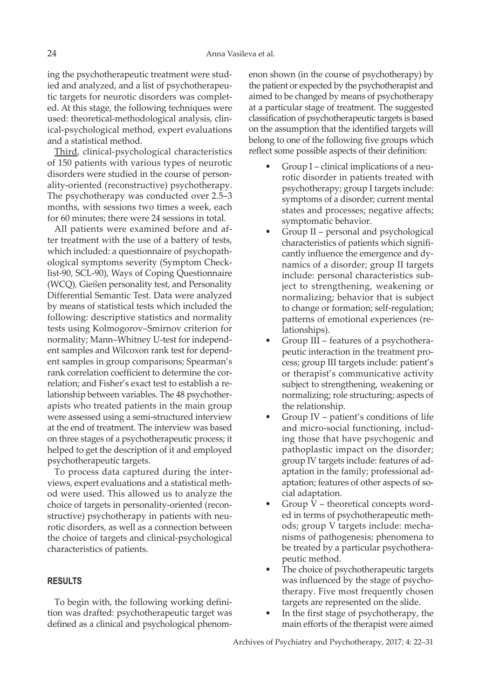ing the psychotherapeutic treatment were studied and analyzed, and a list of psychotherapeutic targets for neurotic disorders was completed. At this stage, the following techniques were used: theoretical-methodological analysis, clinical-psychological method, expert evaluations and a statistical method.

Third, clinical-psychological characteristics of 150 patients with various types of neurotic disorders were studied in the course of personality-oriented (reconstructive) psychotherapy. The psychotherapy was conducted over 2.5–3 months, with sessions two times a week, each for 60 minutes; there were 24 sessions in total.

All patients were examined before and after treatment with the use of a battery of tests, which included: a questionnaire of psychopathological symptoms severity (Symptom Checklist-90, SCL-90), Ways of Coping Questionnaire (WCQ), Gießen personality test, and Personality Differential Semantic Test. Data were analyzed by means of statistical tests which included the following: descriptive statistics and normality tests using Kolmogorov–Smirnov criterion for normality; Mann–Whitney U-test for independent samples and Wilcoxon rank test for dependent samples in group comparisons; Spearman's rank correlation coefficient to determine the correlation; and Fisher's exact test to establish a relationship between variables. The 48 psychotherapists who treated patients in the main group were assessed using a semi-structured interview at the end of treatment. The interview was based on three stages of a psychotherapeutic process; it helped to get the description of it and employed psychotherapeutic targets.

To process data captured during the interviews, expert evaluations and a statistical method were used. This allowed us to analyze the choice of targets in personality-oriented (reconstructive) psychotherapy in patients with neurotic disorders, as well as a connection between the choice of targets and clinical-psychological characteristics of patients.

## **RESULTS**

To begin with, the following working definition was drafted: psychotherapeutic target was defined as a clinical and psychological phenomenon shown (in the course of psychotherapy) by the patient or expected by the psychotherapist and aimed to be changed by means of psychotherapy at a particular stage of treatment. The suggested classification of psychotherapeutic targets is based on the assumption that the identified targets will belong to one of the following five groups which reflect some possible aspects of their definition:

- Group I clinical implications of a neurotic disorder in patients treated with psychotherapy; group I targets include: symptoms of a disorder; current mental states and processes; negative affects; symptomatic behavior.
- Group II personal and psychological characteristics of patients which significantly influence the emergence and dynamics of a disorder; group II targets include: personal characteristics subject to strengthening, weakening or normalizing; behavior that is subject to change or formation; self-regulation; patterns of emotional experiences (relationships).
- Group III features of a psychotherapeutic interaction in the treatment process; group III targets include: patient's or therapist's communicative activity subject to strengthening, weakening or normalizing; role structuring; aspects of the relationship.
- Group IV patient's conditions of life and micro-social functioning, including those that have psychogenic and pathoplastic impact on the disorder; group IV targets include: features of adaptation in the family; professional adaptation; features of other aspects of social adaptation.
- Group  $V$  theoretical concepts worded in terms of psychotherapeutic methods; group V targets include: mechanisms of pathogenesis; phenomena to be treated by a particular psychotherapeutic method.
- The choice of psychotherapeutic targets was influenced by the stage of psychotherapy. Five most frequently chosen targets are represented on the slide.
- In the first stage of psychotherapy, the main efforts of the therapist were aimed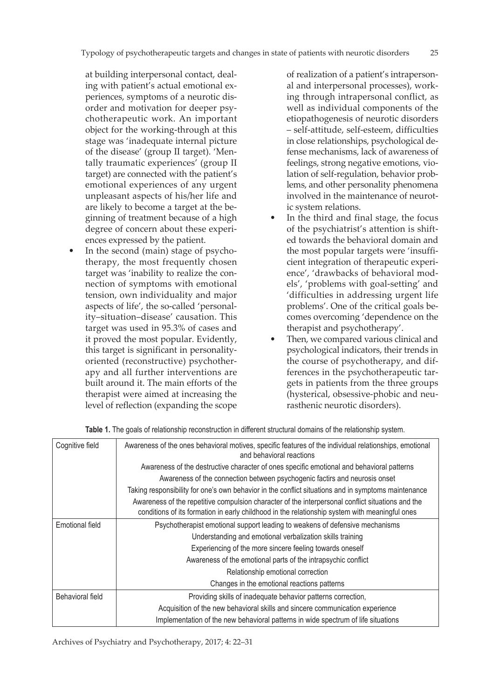at building interpersonal contact, dealing with patient's actual emotional experiences, symptoms of a neurotic disorder and motivation for deeper psychotherapeutic work. An important object for the working-through at this stage was 'inadequate internal picture of the disease' (group II target). 'Mentally traumatic experiences' (group II target) are connected with the patient's emotional experiences of any urgent unpleasant aspects of his/her life and are likely to become a target at the beginning of treatment because of a high degree of concern about these experiences expressed by the patient.

In the second (main) stage of psychotherapy, the most frequently chosen target was 'inability to realize the connection of symptoms with emotional tension, own individuality and major aspects of life', the so-called 'personality–situation–disease' causation. This target was used in 95.3% of cases and it proved the most popular. Evidently, this target is significant in personalityoriented (reconstructive) psychotherapy and all further interventions are built around it. The main efforts of the therapist were aimed at increasing the level of reflection (expanding the scope of realization of a patient's intrapersonal and interpersonal processes), working through intrapersonal conflict, as well as individual components of the etiopathogenesis of neurotic disorders – self-attitude, self-esteem, difficulties in close relationships, psychological defense mechanisms, lack of awareness of feelings, strong negative emotions, violation of self-regulation, behavior problems, and other personality phenomena involved in the maintenance of neurotic system relations.

- In the third and final stage, the focus of the psychiatrist's attention is shifted towards the behavioral domain and the most popular targets were 'insufficient integration of therapeutic experience', 'drawbacks of behavioral models', 'problems with goal-setting' and 'difficulties in addressing urgent life problems'. One of the critical goals becomes overcoming 'dependence on the therapist and psychotherapy'.
- Then, we compared various clinical and psychological indicators, their trends in the course of psychotherapy, and differences in the psychotherapeutic targets in patients from the three groups (hysterical, obsessive-phobic and neurasthenic neurotic disorders).

| Cognitive field  | Awareness of the ones behavioral motives, specific features of the individual relationships, emotional<br>and behavioral reactions                                                                  |  |  |
|------------------|-----------------------------------------------------------------------------------------------------------------------------------------------------------------------------------------------------|--|--|
|                  | Awareness of the destructive character of ones specific emotional and behavioral patterns                                                                                                           |  |  |
|                  | Awareness of the connection between psychogenic factirs and neurosis onset                                                                                                                          |  |  |
|                  | Taking responsibility for one's own behavior in the conflict situations and in symptoms maintenance                                                                                                 |  |  |
|                  | Awareness of the repetitive compulsion character of the interpersonal conflict situations and the<br>conditions of its formation in early childhood in the relationship system with meaningful ones |  |  |
| Emotional field  | Psychotherapist emotional support leading to weakens of defensive mechanisms                                                                                                                        |  |  |
|                  | Understanding and emotional verbalization skills training                                                                                                                                           |  |  |
|                  | Experiencing of the more sincere feeling towards oneself                                                                                                                                            |  |  |
|                  | Awareness of the emotional parts of the intrapsychic conflict                                                                                                                                       |  |  |
|                  | Relationship emotional correction                                                                                                                                                                   |  |  |
|                  | Changes in the emotional reactions patterns                                                                                                                                                         |  |  |
| Behavioral field | Providing skills of inadequate behavior patterns correction,                                                                                                                                        |  |  |
|                  | Acquisition of the new behavioral skills and sincere communication experience                                                                                                                       |  |  |
|                  | Implementation of the new behavioral patterns in wide spectrum of life situations                                                                                                                   |  |  |

**Table 1.** The goals of relationship reconstruction in different structural domains of the relationship system.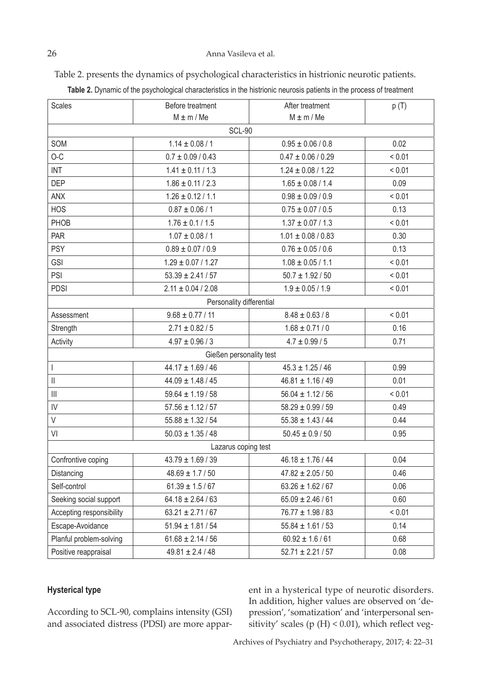Table 2. presents the dynamics of psychological characteristics in histrionic neurotic patients.

| <b>Scales</b>                                                                                                                                                                                                                                                                                                                                                                    | Before treatment         | After treatment        | p(T)        |  |
|----------------------------------------------------------------------------------------------------------------------------------------------------------------------------------------------------------------------------------------------------------------------------------------------------------------------------------------------------------------------------------|--------------------------|------------------------|-------------|--|
|                                                                                                                                                                                                                                                                                                                                                                                  | $M \pm m / Me$           | $M \pm m / Me$         |             |  |
| <b>SCL-90</b>                                                                                                                                                                                                                                                                                                                                                                    |                          |                        |             |  |
| SOM                                                                                                                                                                                                                                                                                                                                                                              | $1.14 \pm 0.08 / 1$      | $0.95 \pm 0.06 / 0.8$  | 0.02        |  |
| $O-C$                                                                                                                                                                                                                                                                                                                                                                            | $0.7 \pm 0.09 / 0.43$    | $0.47 \pm 0.06 / 0.29$ | < 0.01      |  |
| <b>INT</b>                                                                                                                                                                                                                                                                                                                                                                       | $1.41 \pm 0.11 / 1.3$    | $1.24 \pm 0.08 / 1.22$ | ${}_{0.01}$ |  |
| <b>DEP</b>                                                                                                                                                                                                                                                                                                                                                                       | $1.86 \pm 0.11 / 2.3$    | $1.65 \pm 0.08 / 1.4$  | 0.09        |  |
| <b>ANX</b>                                                                                                                                                                                                                                                                                                                                                                       | $1.26 \pm 0.12 / 1.1$    | $0.98 \pm 0.09 / 0.9$  | < 0.01      |  |
| <b>HOS</b>                                                                                                                                                                                                                                                                                                                                                                       | $0.87 \pm 0.06 / 1$      | $0.75 \pm 0.07 / 0.5$  | 0.13        |  |
| PHOB                                                                                                                                                                                                                                                                                                                                                                             | $1.76 \pm 0.1 / 1.5$     | $1.37 \pm 0.07 / 1.3$  | < 0.01      |  |
| PAR                                                                                                                                                                                                                                                                                                                                                                              | $1.07 \pm 0.08 / 1$      | $1.01 \pm 0.08 / 0.83$ | 0.30        |  |
| <b>PSY</b>                                                                                                                                                                                                                                                                                                                                                                       | $0.89 \pm 0.07 / 0.9$    | $0.76 \pm 0.05 / 0.6$  | 0.13        |  |
| <b>GSI</b>                                                                                                                                                                                                                                                                                                                                                                       | $1.29 \pm 0.07 / 1.27$   | $1.08 \pm 0.05 / 1.1$  | ${}_{0.01}$ |  |
| PSI                                                                                                                                                                                                                                                                                                                                                                              | $53.39 \pm 2.41 / 57$    | $50.7 \pm 1.92 / 50$   | ${}_{0.01}$ |  |
| <b>PDSI</b>                                                                                                                                                                                                                                                                                                                                                                      | $2.11 \pm 0.04 / 2.08$   | $1.9 \pm 0.05 / 1.9$   | < 0.01      |  |
|                                                                                                                                                                                                                                                                                                                                                                                  | Personality differential |                        |             |  |
| Assessment                                                                                                                                                                                                                                                                                                                                                                       | $9.68 \pm 0.77 / 11$     | $8.48 \pm 0.63 / 8$    | ${}_{0.01}$ |  |
| Strength                                                                                                                                                                                                                                                                                                                                                                         | $2.71 \pm 0.82 / 5$      | $1.68 \pm 0.71 / 0$    | 0.16        |  |
| Activity                                                                                                                                                                                                                                                                                                                                                                         | $4.97 \pm 0.96 / 3$      | $4.7 \pm 0.99 / 5$     | 0.71        |  |
|                                                                                                                                                                                                                                                                                                                                                                                  | Gießen personality test  |                        |             |  |
| $\begin{array}{c} \rule{0pt}{2.5ex} \rule{0pt}{2.5ex} \rule{0pt}{2.5ex} \rule{0pt}{2.5ex} \rule{0pt}{2.5ex} \rule{0pt}{2.5ex} \rule{0pt}{2.5ex} \rule{0pt}{2.5ex} \rule{0pt}{2.5ex} \rule{0pt}{2.5ex} \rule{0pt}{2.5ex} \rule{0pt}{2.5ex} \rule{0pt}{2.5ex} \rule{0pt}{2.5ex} \rule{0pt}{2.5ex} \rule{0pt}{2.5ex} \rule{0pt}{2.5ex} \rule{0pt}{2.5ex} \rule{0pt}{2.5ex} \rule{0$ | $44.17 \pm 1.69 / 46$    | $45.3 \pm 1.25 / 46$   | 0.99        |  |
| $\vert\vert$                                                                                                                                                                                                                                                                                                                                                                     | $44.09 \pm 1.48 / 45$    | $46.81 \pm 1.16 / 49$  | 0.01        |  |
| $\left\  {}\right\ $                                                                                                                                                                                                                                                                                                                                                             | $59.64 \pm 1.19 / 58$    | $56.04 \pm 1.12 / 56$  | ${}_{0.01}$ |  |
| IV                                                                                                                                                                                                                                                                                                                                                                               | $57.56 \pm 1.12 / 57$    | $58.29 \pm 0.99 / 59$  | 0.49        |  |
| $\mathsf V$                                                                                                                                                                                                                                                                                                                                                                      | $55.88 \pm 1.32 / 54$    | $55.38 \pm 1.43 / 44$  | 0.44        |  |
| VI                                                                                                                                                                                                                                                                                                                                                                               | $50.03 \pm 1.35 / 48$    | $50.45 \pm 0.9 / 50$   | 0.95        |  |
| Lazarus coping test                                                                                                                                                                                                                                                                                                                                                              |                          |                        |             |  |
| Confrontive coping                                                                                                                                                                                                                                                                                                                                                               | $43.79 \pm 1.69 / 39$    | $46.18 \pm 1.76 / 44$  | 0.04        |  |
| Distancing                                                                                                                                                                                                                                                                                                                                                                       | $48.69 \pm 1.7 / 50$     | $47.82 \pm 2.05 / 50$  | 0.46        |  |
| Self-control                                                                                                                                                                                                                                                                                                                                                                     | $61.39 \pm 1.5/67$       | $63.26 \pm 1.62 / 67$  | 0.06        |  |
| Seeking social support                                                                                                                                                                                                                                                                                                                                                           | $64.18 \pm 2.64 / 63$    | $65.09 \pm 2.46 / 61$  | 0.60        |  |
| Accepting responsibility                                                                                                                                                                                                                                                                                                                                                         | $63.21 \pm 2.71/67$      | $76.77 \pm 1.98 / 83$  | < 0.01      |  |
| Escape-Avoidance                                                                                                                                                                                                                                                                                                                                                                 | $51.94 \pm 1.81 / 54$    | $55.84 \pm 1.61 / 53$  | 0.14        |  |
| Planful problem-solving                                                                                                                                                                                                                                                                                                                                                          | $61.68 \pm 2.14 / 56$    | $60.92 \pm 1.6 / 61$   | 0.68        |  |
| Positive reappraisal                                                                                                                                                                                                                                                                                                                                                             | $49.81 \pm 2.4 / 48$     | $52.71 \pm 2.21 / 57$  | 0.08        |  |

**Table 2.** Dynamic of the psychological characteristics in the histrionic neurosis patients in the process of treatment

# **Hysterical type**

According to SCL-90, complains intensity (GSI) and associated distress (PDSI) are more apparent in a hysterical type of neurotic disorders. In addition, higher values are observed on 'depression', 'somatization' and 'interpersonal sensitivity' scales (р (Н) < 0.01), which reflect veg-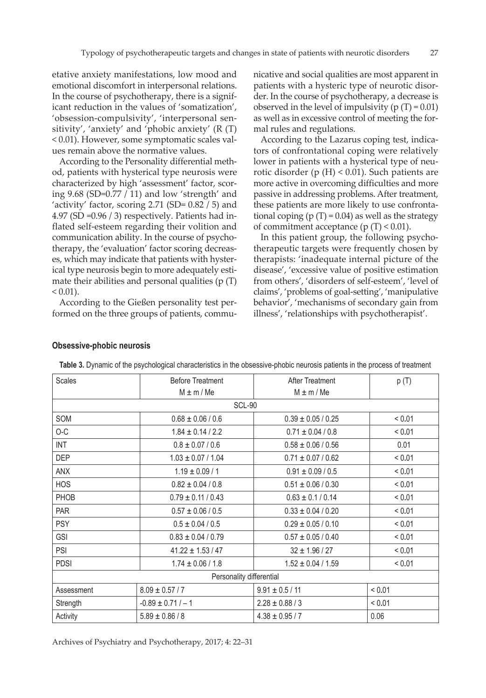etative anxiety manifestations, low mood and emotional discomfort in interpersonal relations. In the course of psychotherapy, there is a significant reduction in the values of 'somatization', 'obsession-compulsivity', 'interpersonal sensitivity', 'anxiety' and 'phobic anxiety' (R (T) < 0.01). However, some symptomatic scales values remain above the normative values.

According to the Personality differential method, patients with hysterical type neurosis were characterized by high 'assessment' factor, scoring 9.68 (SD=0.77 / 11) and low 'strength' and 'activity' factor, scoring 2.71 (SD= 0.82 / 5) and 4.97 (SD =0.96 / 3) respectively. Patients had inflated self-esteem regarding their volition and communication ability. In the course of psychotherapy, the 'evaluation' factor scoring decreases, which may indicate that patients with hysterical type neurosis begin to more adequately estimate their abilities and personal qualities  $(p(T))$  $< 0.01$ ).

According to the Gießen personality test performed on the three groups of patients, communicative and social qualities are most apparent in patients with a hysteric type of neurotic disorder. In the course of psychotherapy, a decrease is observed in the level of impulsivity  $(p(T) = 0.01)$ as well as in excessive control of meeting the formal rules and regulations.

According to the Lazarus coping test, indicators of confrontational coping were relatively lower in patients with a hysterical type of neurotic disorder (р (Н) < 0.01). Such patients are more active in overcoming difficulties and more passive in addressing problems. After treatment, these patients are more likely to use confrontational coping ( $p(T) = 0.04$ ) as well as the strategy of commitment acceptance ( $p(T) < 0.01$ ).

In this patient group, the following psychotherapeutic targets were frequently chosen by therapists: 'inadequate internal picture of the disease', 'excessive value of positive estimation from others', 'disorders of self-esteem', 'level of claims', 'problems of goal-setting', 'manipulative behavior', 'mechanisms of secondary gain from illness', 'relationships with psychotherapist'.

| <b>Scales</b>            | <b>Before Treatment</b> | <b>After Treatment</b> | p(T)   |  |  |
|--------------------------|-------------------------|------------------------|--------|--|--|
|                          | $M \pm m / Me$          | $M \pm m / Me$         |        |  |  |
|                          | <b>SCL-90</b>           |                        |        |  |  |
| SOM                      | $0.68 \pm 0.06 / 0.6$   | $0.39 \pm 0.05 / 0.25$ | < 0.01 |  |  |
| O-C                      | $1.84 \pm 0.14 / 2.2$   | $0.71 \pm 0.04 / 0.8$  | < 0.01 |  |  |
| <b>INT</b>               | $0.8 \pm 0.07 / 0.6$    | $0.58 \pm 0.06 / 0.56$ | 0.01   |  |  |
| <b>DEP</b>               | $1.03 \pm 0.07 / 1.04$  | $0.71 \pm 0.07 / 0.62$ | < 0.01 |  |  |
| ANX                      | $1.19 \pm 0.09 / 1$     | $0.91 \pm 0.09 / 0.5$  | < 0.01 |  |  |
| <b>HOS</b>               | $0.82 \pm 0.04 / 0.8$   | $0.51 \pm 0.06 / 0.30$ | < 0.01 |  |  |
| PHOB                     | $0.79 \pm 0.11 / 0.43$  | $0.63 \pm 0.1 / 0.14$  | < 0.01 |  |  |
| <b>PAR</b>               | $0.57 \pm 0.06 / 0.5$   | $0.33 \pm 0.04 / 0.20$ | < 0.01 |  |  |
| <b>PSY</b>               | $0.5 \pm 0.04 / 0.5$    | $0.29 \pm 0.05 / 0.10$ | < 0.01 |  |  |
| <b>GSI</b>               | $0.83 \pm 0.04 / 0.79$  | $0.57 \pm 0.05 / 0.40$ | < 0.01 |  |  |
| <b>PSI</b>               | $41.22 \pm 1.53 / 47$   | $32 \pm 1.96 / 27$     | < 0.01 |  |  |
| <b>PDSI</b>              | $1.74 \pm 0.06 / 1.8$   | $1.52 \pm 0.04 / 1.59$ | < 0.01 |  |  |
| Personality differential |                         |                        |        |  |  |
| Assessment               | $8.09 \pm 0.57 / 7$     | $9.91 \pm 0.5 / 11$    | < 0.01 |  |  |
| Strength                 | $-0.89 \pm 0.71/-1$     | $2.28 \pm 0.88 / 3$    | < 0.01 |  |  |
| Activity                 | $5.89 \pm 0.86 / 8$     | $4.38 \pm 0.95 / 7$    | 0.06   |  |  |

#### **Obsessive-phobic neurosis**

| Table 3. Dynamic of the psychological characteristics in the obsessive-phobic neurosis patients in the process of treatment |  |  |  |
|-----------------------------------------------------------------------------------------------------------------------------|--|--|--|
|-----------------------------------------------------------------------------------------------------------------------------|--|--|--|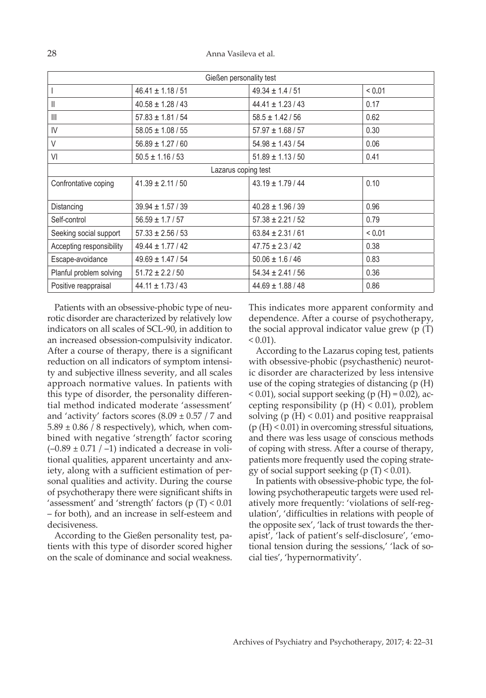| Gießen personality test  |                       |                       |        |
|--------------------------|-----------------------|-----------------------|--------|
|                          | $46.41 \pm 1.18 / 51$ | $49.34 \pm 1.4 / 51$  | < 0.01 |
| Ш                        | $40.58 \pm 1.28 / 43$ | $44.41 \pm 1.23/43$   | 0.17   |
| III                      | $57.83 \pm 1.81 / 54$ | $58.5 \pm 1.42 / 56$  | 0.62   |
| IV                       | $58.05 \pm 1.08 / 55$ | $57.97 \pm 1.68 / 57$ | 0.30   |
| V                        | $56.89 \pm 1.27 / 60$ | $54.98 \pm 1.43 / 54$ | 0.06   |
| VI                       | $50.5 \pm 1.16 / 53$  | $51.89 \pm 1.13 / 50$ | 0.41   |
|                          | Lazarus coping test   |                       |        |
| Confrontative coping     | $41.39 \pm 2.11 / 50$ | $43.19 \pm 1.79 / 44$ | 0.10   |
|                          |                       |                       |        |
| Distancing               | $39.94 \pm 1.57 / 39$ | $40.28 \pm 1.96 / 39$ | 0.96   |
| Self-control             | $56.59 \pm 1.7 / 57$  | $57.38 \pm 2.21 / 52$ | 0.79   |
| Seeking social support   | $57.33 \pm 2.56 / 53$ | $63.84 \pm 2.31/61$   | < 0.01 |
| Accepting responsibility | $49.44 \pm 1.77/42$   | $47.75 \pm 2.3/42$    | 0.38   |
| Escape-avoidance         | $49.69 \pm 1.47/54$   | $50.06 \pm 1.6 / 46$  | 0.83   |
| Planful problem solving  | $51.72 \pm 2.2 / 50$  | $54.34 \pm 2.41 / 56$ | 0.36   |
| Positive reappraisal     | $44.11 \pm 1.73/43$   | $44.69 \pm 1.88 / 48$ | 0.86   |

Patients with an obsessive-phobic type of neurotic disorder are characterized by relatively low indicators on all scales of SCL-90, in addition to an increased obsession-compulsivity indicator. After a course of therapy, there is a significant reduction on all indicators of symptom intensity and subjective illness severity, and all scales approach normative values. In patients with this type of disorder, the personality differential method indicated moderate 'assessment' and 'activity' factors scores  $(8.09 \pm 0.57 / 7$  and  $5.89 \pm 0.86$  / 8 respectively), which, when combined with negative 'strength' factor scoring  $(-0.89 \pm 0.71$  / -1) indicated a decrease in volitional qualities, apparent uncertainty and anxiety, along with a sufficient estimation of personal qualities and activity. During the course of psychotherapy there were significant shifts in 'assessment' and 'strength' factors (р (Т) < 0.01 – for both), and an increase in self-esteem and decisiveness.

According to the Gießen personality test, patients with this type of disorder scored higher on the scale of dominance and social weakness. This indicates more apparent conformity and dependence. After a course of psychotherapy, the social approval indicator value grew (р (Т)  $< 0.01$ ).

According to the Lazarus coping test, patients with obsessive-phobic (psychasthenic) neurotic disorder are characterized by less intensive use of the coping strategies of distancing (р (Н)  $< 0.01$ ), social support seeking (р (H) = 0.02), accepting responsibility (р  $(H) < 0.01$ ), problem solving ( $p(H) < 0.01$ ) and positive reappraisal (р (Н) < 0.01) in overcoming stressful situations, and there was less usage of conscious methods of coping with stress. After a course of therapy, patients more frequently used the coping strategy of social support seeking ( $p(T) < 0.01$ ).

In patients with obsessive-phobic type, the following psychotherapeutic targets were used relatively more frequently: 'violations of self-regulation', 'difficulties in relations with people of the opposite sex', 'lack of trust towards the therapist', 'lack of patient's self-disclosure', 'emotional tension during the sessions,' 'lack of social ties', 'hypernormativity'.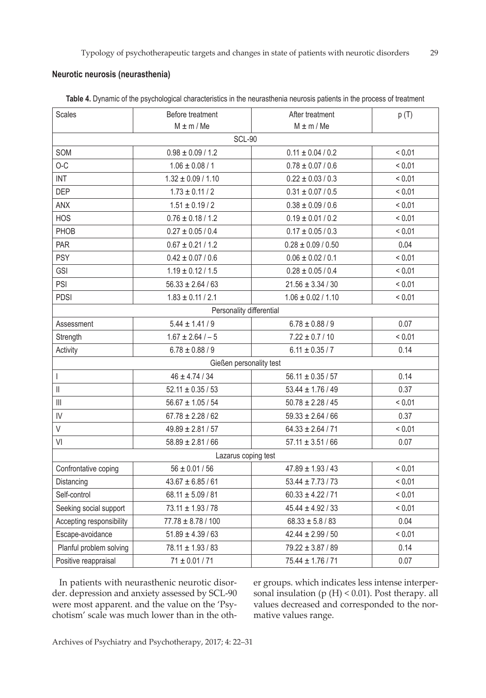# **Neurotic neurosis (neurasthenia)**

| Scales                         | Before treatment         | After treatment        | p(T)        |  |  |
|--------------------------------|--------------------------|------------------------|-------------|--|--|
|                                | $M \pm m / Me$           | $M \pm m / Me$         |             |  |  |
|                                | <b>SCL-90</b>            |                        |             |  |  |
| SOM                            | $0.98 \pm 0.09 / 1.2$    | $0.11 \pm 0.04 / 0.2$  | < 0.01      |  |  |
| $O-C$                          | $1.06 \pm 0.08 / 1$      | $0.78 \pm 0.07 / 0.6$  | < 0.01      |  |  |
| <b>INT</b>                     | $1.32 \pm 0.09 / 1.10$   | $0.22 \pm 0.03 / 0.3$  | < 0.01      |  |  |
| <b>DEP</b>                     | $1.73 \pm 0.11 / 2$      | $0.31 \pm 0.07 / 0.5$  | < 0.01      |  |  |
| ANX                            | $1.51 \pm 0.19 / 2$      | $0.38 \pm 0.09 / 0.6$  | < 0.01      |  |  |
| <b>HOS</b>                     | $0.76 \pm 0.18 / 1.2$    | $0.19 \pm 0.01 / 0.2$  | < 0.01      |  |  |
| PHOB                           | $0.27 \pm 0.05 / 0.4$    | $0.17 \pm 0.05 / 0.3$  | < 0.01      |  |  |
| <b>PAR</b>                     | $0.67 \pm 0.21 / 1.2$    | $0.28 \pm 0.09 / 0.50$ | 0.04        |  |  |
| <b>PSY</b>                     | $0.42 \pm 0.07 / 0.6$    | $0.06 \pm 0.02 / 0.1$  | < 0.01      |  |  |
| <b>GSI</b>                     | $1.19 \pm 0.12 / 1.5$    | $0.28 \pm 0.05 / 0.4$  | < 0.01      |  |  |
| PSI                            | $56.33 \pm 2.64 / 63$    | $21.56 \pm 3.34 / 30$  | ${}< 0.01$  |  |  |
| <b>PDSI</b>                    | $1.83 \pm 0.11 / 2.1$    | $1.06 \pm 0.02 / 1.10$ | < 0.01      |  |  |
|                                | Personality differential |                        |             |  |  |
| Assessment                     | $5.44 \pm 1.41/9$        | $6.78 \pm 0.88 / 9$    | 0.07        |  |  |
| Strength                       | $1.67 \pm 2.64/-5$       | $7.22 \pm 0.7 / 10$    | < 0.01      |  |  |
| Activity                       | $6.78 \pm 0.88 / 9$      | $6.11 \pm 0.35 / 7$    | 0.14        |  |  |
|                                | Gießen personality test  |                        |             |  |  |
| $\begin{array}{c} \end{array}$ | $46 \pm 4.74 / 34$       | $56.11 \pm 0.35 / 57$  | 0.14        |  |  |
| $\ensuremath{\mathsf{II}}$     | $52.11 \pm 0.35 / 53$    | $53.44 \pm 1.76 / 49$  | 0.37        |  |  |
| $\left\  {}\right\ $           | $56.67 \pm 1.05 / 54$    | $50.78 \pm 2.28 / 45$  | < 0.01      |  |  |
| IV                             | $67.78 \pm 2.28 / 62$    | $59.33 \pm 2.64 / 66$  | 0.37        |  |  |
| $\vee$                         | $49.89 \pm 2.81 / 57$    | $64.33 \pm 2.64 / 71$  | < 0.01      |  |  |
| VI                             | $58.89 \pm 2.81 / 66$    | $57.11 \pm 3.51 / 66$  | 0.07        |  |  |
| Lazarus coping test            |                          |                        |             |  |  |
| Confrontative coping           | $56 \pm 0.01 / 56$       | $47.89 \pm 1.93 / 43$  | < 0.01      |  |  |
| Distancing                     | $43.67 \pm 6.85 / 61$    | $53.44 \pm 7.73 / 73$  | < 0.01      |  |  |
| Self-control                   | $68.11 \pm 5.09 / 81$    | $60.33 \pm 4.22 / 71$  | ${}_{0.01}$ |  |  |
| Seeking social support         | $73.11 \pm 1.93 / 78$    | $45.44 \pm 4.92 / 33$  | < 0.01      |  |  |
| Accepting responsibility       | $77.78 \pm 8.78 / 100$   | $68.33 \pm 5.8 / 83$   | 0.04        |  |  |
| Escape-avoidance               | $51.89 \pm 4.39 / 63$    | $42.44 \pm 2.99 / 50$  | < 0.01      |  |  |
| Planful problem solving        | $78.11 \pm 1.93 / 83$    | $79.22 \pm 3.87 / 89$  | 0.14        |  |  |
| Positive reappraisal           | $71 \pm 0.01 / 71$       | $75.44 \pm 1.76 / 71$  | 0.07        |  |  |

**Table 4.** Dynamic of the psychological characteristics in the neurasthenia neurosis patients in the process of treatment

In patients with neurasthenic neurotic disorder. depression and anxiety assessed by SCL-90 were most apparent. and the value on the 'Psychotism' scale was much lower than in the other groups. which indicates less intense interpersonal insulation (р (H) < 0.01). Post therapy. all values decreased and corresponded to the normative values range.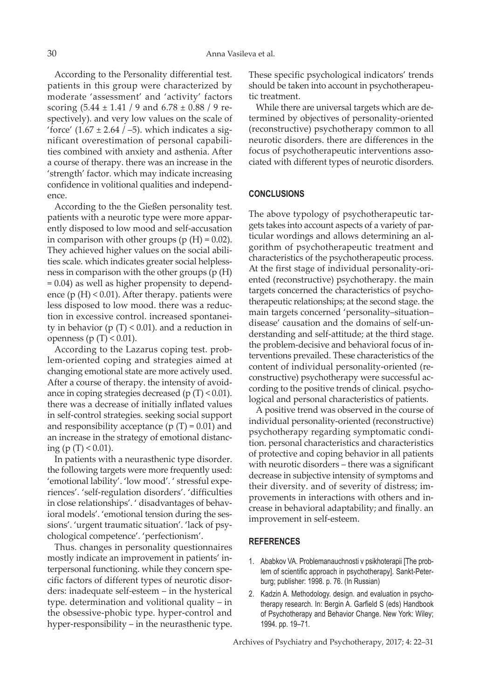According to the Personality differential test. patients in this group were characterized by moderate 'assessment' and 'activity' factors scoring (5.44 ± 1.41 / 9 and 6.78 ± 0.88 / 9 respectively). and very low values on the scale of 'force'  $(1.67 \pm 2.64 / -5)$ . which indicates a significant overestimation of personal capabilities combined with anxiety and asthenia. After a course of therapy. there was an increase in the 'strength' factor. which may indicate increasing confidence in volitional qualities and independence.

According to the the Gießen personality test. patients with a neurotic type were more apparently disposed to low mood and self-accusation in comparison with other groups ( $p(H) = 0.02$ ). They achieved higher values on the social abilities scale. which indicates greater social helplessness in comparison with the other groups (p (H) = 0.04) as well as higher propensity to dependence ( $p(H)$  < 0.01). After therapy. patients were less disposed to low mood. there was a reduction in excessive control. increased spontaneity in behavior ( $p(T)$  < 0.01). and a reduction in openness (р (Т) < 0.01).

According to the Lazarus coping test. problem-oriented coping and strategies aimed at changing emotional state are more actively used. After a course of therapy. the intensity of avoidance in coping strategies decreased ( $p(T) < 0.01$ ). there was a decrease of initially inflated values in self-control strategies. seeking social support and responsibility acceptance ( $p(T) = 0.01$ ) and an increase in the strategy of emotional distancing (p (T) < 0.01).

In patients with a neurasthenic type disorder. the following targets were more frequently used: 'emotional lability'. 'low mood'. ' stressful experiences'. 'self-regulation disorders'. 'difficulties in close relationships'. ' disadvantages of behavioral models'. 'emotional tension during the sessions'. 'urgent traumatic situation'. 'lack of psychological competence'. 'perfectionism'.

Thus. changes in personality questionnaires mostly indicate an improvement in patients' interpersonal functioning. while they concern specific factors of different types of neurotic disorders: inadequate self-esteem – in the hysterical type. determination and volitional quality – in the obsessive-phobic type. hyper-control and hyper-responsibility – in the neurasthenic type. These specific psychological indicators' trends should be taken into account in psychotherapeutic treatment.

While there are universal targets which are determined by objectives of personality-oriented (reconstructive) psychotherapy common to all neurotic disorders. there are differences in the focus of psychotherapeutic interventions associated with different types of neurotic disorders.

# **CONCLUSIONS**

The above typology of psychotherapeutic targets takes into account aspects of a variety of particular wordings and allows determining an algorithm of psychotherapeutic treatment and characteristics of the psychotherapeutic process. At the first stage of individual personality-oriented (reconstructive) psychotherapy. the main targets concerned the characteristics of psychotherapeutic relationships; at the second stage. the main targets concerned 'personality–situation– disease' causation and the domains of self-understanding and self-attitude; at the third stage. the problem-decisive and behavioral focus of interventions prevailed. These characteristics of the content of individual personality-oriented (reconstructive) psychotherapy were successful according to the positive trends of clinical. psychological and personal characteristics of patients.

A positive trend was observed in the course of individual personality-oriented (reconstructive) psychotherapy regarding symptomatic condition. personal characteristics and characteristics of protective and coping behavior in all patients with neurotic disorders – there was a significant decrease in subjective intensity of symptoms and their diversity. and of severity of distress; improvements in interactions with others and increase in behavioral adaptability; and finally. an improvement in self-esteem.

#### **REFERENCES**

- 1. Ababkov VA. Problemanauchnosti v psikhoterapii [The problem of scientific approach in psychotherapy]. Sankt-Peterburg; publisher: 1998. p. 76. (In Russian)
- 2. Kadzin A. Methodology. design. and evaluation in psychotherapy research. In: Bergin A. Garfield S (eds) Handbook of Psychotherapy and Behavior Change. New York: Wiley; 1994. pp. 19–71.